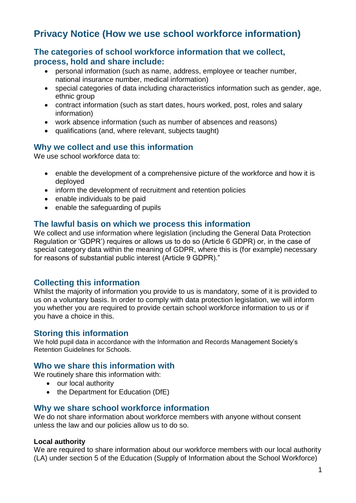# **Privacy Notice (How we use school workforce information)**

## **The categories of school workforce information that we collect, process, hold and share include:**

- personal information (such as name, address, employee or teacher number, national insurance number, medical information)
- special categories of data including characteristics information such as gender, age, ethnic group
- contract information (such as start dates, hours worked, post, roles and salary information)
- work absence information (such as number of absences and reasons)
- qualifications (and, where relevant, subjects taught)

# **Why we collect and use this information**

We use school workforce data to:

- enable the development of a comprehensive picture of the workforce and how it is deployed
- inform the development of recruitment and retention policies
- enable individuals to be paid
- enable the safeguarding of pupils

## **The lawful basis on which we process this information**

We collect and use information where legislation (including the General Data Protection Regulation or 'GDPR') requires or allows us to do so (Article 6 GDPR) or, in the case of special category data within the meaning of GDPR, where this is (for example) necessary for reasons of substantial public interest (Article 9 GDPR)."

## **Collecting this information**

Whilst the majority of information you provide to us is mandatory, some of it is provided to us on a voluntary basis. In order to comply with data protection legislation, we will inform you whether you are required to provide certain school workforce information to us or if you have a choice in this.

## **Storing this information**

We hold pupil data in accordance with the Information and Records Management Society's Retention Guidelines for Schools.

#### **Who we share this information with**

We routinely share this information with:

- our local authority
- the Department for Education (DfE)

## **Why we share school workforce information**

We do not share information about workforce members with anyone without consent unless the law and our policies allow us to do so.

#### **Local authority**

We are required to share information about our workforce members with our local authority (LA) under section 5 of the Education (Supply of Information about the School Workforce)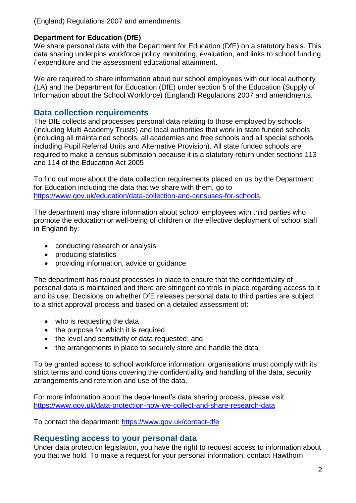(England) Regulations 2007 and amendments.

#### **Department for Education (DfE)**

We share personal data with the Department for Education (DfE) on a statutory basis. This data sharing underpins workforce policy monitoring, evaluation, and links to school funding / expenditure and the assessment educational attainment.

We are required to share information about our school employees with our local authority (LA) and the Department for Education (DfE) under section 5 of the Education (Supply of Information about the School Workforce) (England) Regulations 2007 and amendments.

# **Data collection requirements**

The DfE collects and processes personal data relating to those employed by schools (including Multi Academy Trusts) and local authorities that work in state funded schools (including all maintained schools, all academies and free schools and all special schools including Pupil Referral Units and Alternative Provision). All state funded schools are required to make a census submission because it is a statutory return under sections 113 and 114 of the Education Act 2005

To find out more about the data collection requirements placed on us by the Department for Education including the data that we share with them, go to [https://www.gov.uk/education/data-collection-and-censuses-for-schools.](https://www.gov.uk/education/data-collection-and-censuses-for-schools)

The department may share information about school employees with third parties who promote the education or well-being of children or the effective deployment of school staff in England by:

- conducting research or analysis
- producing statistics
- providing information, advice or guidance

The department has robust processes in place to ensure that the confidentiality of personal data is maintained and there are stringent controls in place regarding access to it and its use. Decisions on whether DfE releases personal data to third parties are subject to a strict approval process and based on a detailed assessment of:

- who is requesting the data
- the purpose for which it is required
- the level and sensitivity of data requested; and
- the arrangements in place to securely store and handle the data

To be granted access to school workforce information, organisations must comply with its strict terms and conditions covering the confidentiality and handling of the data, security arrangements and retention and use of the data.

For more information about the department's data sharing process, please visit: <https://www.gov.uk/data-protection-how-we-collect-and-share-research-data>

To contact the department:<https://www.gov.uk/contact-dfe>

## **Requesting access to your personal data**

Under data protection legislation, you have the right to request access to information about you that we hold. To make a request for your personal information, contact Hawthorn